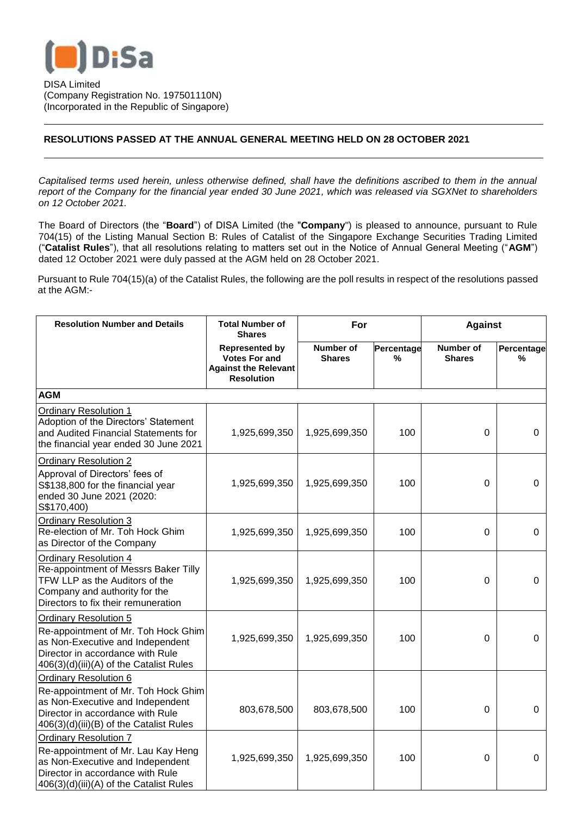

DISA Limited (Company Registration No. 197501110N) (Incorporated in the Republic of Singapore)

## **RESOLUTIONS PASSED AT THE ANNUAL GENERAL MEETING HELD ON 28 OCTOBER 2021**

*Capitalised terms used herein, unless otherwise defined, shall have the definitions ascribed to them in the annual report of the Company for the financial year ended 30 June 2021, which was released via SGXNet to shareholders on 12 October 2021.*

The Board of Directors (the "**Board**") of DISA Limited (the "**Company**") is pleased to announce, pursuant to Rule 704(15) of the Listing Manual Section B: Rules of Catalist of the Singapore Exchange Securities Trading Limited ("**Catalist Rules**"), that all resolutions relating to matters set out in the Notice of Annual General Meeting ("**AGM**") dated 12 October 2021 were duly passed at the AGM held on 28 October 2021.

Pursuant to Rule 704(15)(a) of the Catalist Rules, the following are the poll results in respect of the resolutions passed at the AGM:-

| <b>Resolution Number and Details</b>                                                                                                                                                   | <b>Total Number of</b><br><b>Shares</b>                                                           | For                        |                 | <b>Against</b>                    |                 |  |  |  |
|----------------------------------------------------------------------------------------------------------------------------------------------------------------------------------------|---------------------------------------------------------------------------------------------------|----------------------------|-----------------|-----------------------------------|-----------------|--|--|--|
|                                                                                                                                                                                        | <b>Represented by</b><br><b>Votes For and</b><br><b>Against the Relevant</b><br><b>Resolution</b> | Number of<br><b>Shares</b> | Percentage<br>% | <b>Number of</b><br><b>Shares</b> | Percentage<br>% |  |  |  |
| <b>AGM</b>                                                                                                                                                                             |                                                                                                   |                            |                 |                                   |                 |  |  |  |
| <b>Ordinary Resolution 1</b><br>Adoption of the Directors' Statement<br>and Audited Financial Statements for<br>the financial year ended 30 June 2021                                  | 1,925,699,350                                                                                     | 1,925,699,350              | 100             | $\Omega$                          | $\Omega$        |  |  |  |
| <b>Ordinary Resolution 2</b><br>Approval of Directors' fees of<br>S\$138,800 for the financial year<br>ended 30 June 2021 (2020:<br>S\$170,400)                                        | 1,925,699,350                                                                                     | 1,925,699,350              | 100             | $\Omega$                          | $\Omega$        |  |  |  |
| <b>Ordinary Resolution 3</b><br>Re-election of Mr. Toh Hock Ghim<br>as Director of the Company                                                                                         | 1,925,699,350                                                                                     | 1,925,699,350              | 100             | $\mathbf 0$                       | 0               |  |  |  |
| <b>Ordinary Resolution 4</b><br>Re-appointment of Messrs Baker Tilly<br>TFW LLP as the Auditors of the<br>Company and authority for the<br>Directors to fix their remuneration         | 1,925,699,350                                                                                     | 1,925,699,350              | 100             | 0                                 | $\mathbf 0$     |  |  |  |
| <b>Ordinary Resolution 5</b><br>Re-appointment of Mr. Toh Hock Ghim<br>as Non-Executive and Independent<br>Director in accordance with Rule<br>406(3)(d)(iii)(A) of the Catalist Rules | 1,925,699,350                                                                                     | 1,925,699,350              | 100             | 0                                 | $\mathbf 0$     |  |  |  |
| <b>Ordinary Resolution 6</b><br>Re-appointment of Mr. Toh Hock Ghim<br>as Non-Executive and Independent<br>Director in accordance with Rule<br>406(3)(d)(iii)(B) of the Catalist Rules | 803,678,500                                                                                       | 803,678,500                | 100             | 0                                 | $\Omega$        |  |  |  |
| <b>Ordinary Resolution 7</b><br>Re-appointment of Mr. Lau Kay Heng<br>as Non-Executive and Independent<br>Director in accordance with Rule<br>406(3)(d)(iii)(A) of the Catalist Rules  | 1,925,699,350                                                                                     | 1,925,699,350              | 100             | 0                                 | 0               |  |  |  |